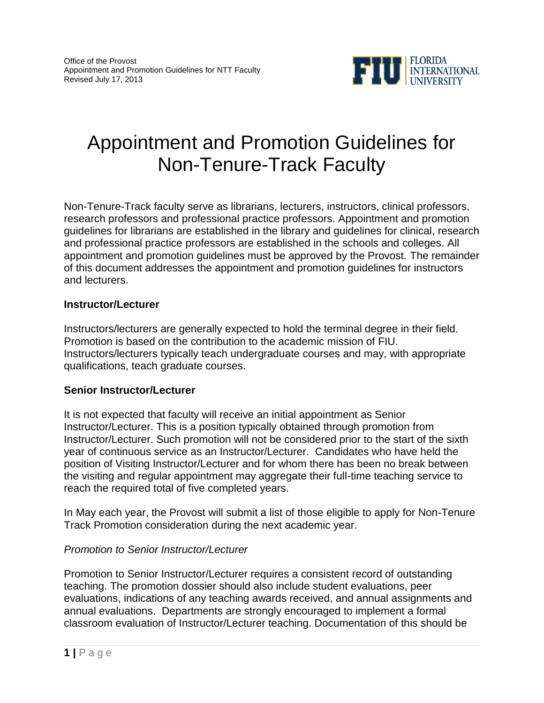

# Appointment and Promotion Guidelines for Non-Tenure-Track Faculty

Non-Tenure-Track faculty serve as librarians, lecturers, instructors, clinical professors, research professors and professional practice professors. Appointment and promotion guidelines for librarians are established in the library and guidelines for clinical, research and professional practice professors are established in the schools and colleges. All appointment and promotion guidelines must be approved by the Provost. The remainder of this document addresses the appointment and promotion guidelines for instructors and lecturers.

#### **Instructor/Lecturer**

Instructors/lecturers are generally expected to hold the terminal degree in their field. Promotion is based on the contribution to the academic mission of FIU. Instructors/lecturers typically teach undergraduate courses and may, with appropriate qualifications, teach graduate courses.

#### **Senior Instructor/Lecturer**

It is not expected that faculty will receive an initial appointment as Senior Instructor/Lecturer. This is a position typically obtained through promotion from Instructor/Lecturer. Such promotion will not be considered prior to the start of the sixth year of continuous service as an Instructor/Lecturer. Candidates who have held the position of Visiting Instructor/Lecturer and for whom there has been no break between the visiting and regular appointment may aggregate their full-time teaching service to reach the required total of five completed years.

In May each year, the Provost will submit a list of those eligible to apply for Non-Tenure Track Promotion consideration during the next academic year.

### *Promotion to Senior Instructor/Lecturer*

Promotion to Senior Instructor/Lecturer requires a consistent record of outstanding teaching. The promotion dossier should also include student evaluations, peer evaluations, indications of any teaching awards received, and annual assignments and annual evaluations. Departments are strongly encouraged to implement a formal classroom evaluation of Instructor/Lecturer teaching. Documentation of this should be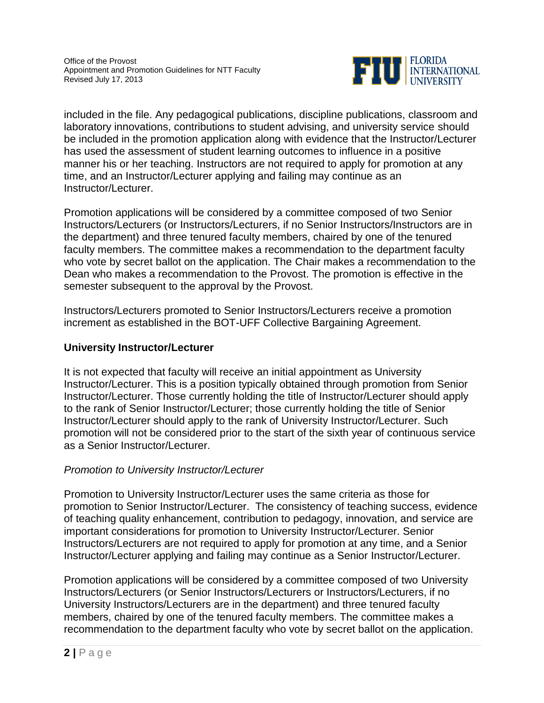

included in the file. Any pedagogical publications, discipline publications, classroom and laboratory innovations, contributions to student advising, and university service should be included in the promotion application along with evidence that the Instructor/Lecturer has used the assessment of student learning outcomes to influence in a positive manner his or her teaching. Instructors are not required to apply for promotion at any time, and an Instructor/Lecturer applying and failing may continue as an Instructor/Lecturer.

Promotion applications will be considered by a committee composed of two Senior Instructors/Lecturers (or Instructors/Lecturers, if no Senior Instructors/Instructors are in the department) and three tenured faculty members, chaired by one of the tenured faculty members. The committee makes a recommendation to the department faculty who vote by secret ballot on the application. The Chair makes a recommendation to the Dean who makes a recommendation to the Provost. The promotion is effective in the semester subsequent to the approval by the Provost.

Instructors/Lecturers promoted to Senior Instructors/Lecturers receive a promotion increment as established in the BOT-UFF Collective Bargaining Agreement.

## **University Instructor/Lecturer**

It is not expected that faculty will receive an initial appointment as University Instructor/Lecturer. This is a position typically obtained through promotion from Senior Instructor/Lecturer. Those currently holding the title of Instructor/Lecturer should apply to the rank of Senior Instructor/Lecturer; those currently holding the title of Senior Instructor/Lecturer should apply to the rank of University Instructor/Lecturer. Such promotion will not be considered prior to the start of the sixth year of continuous service as a Senior Instructor/Lecturer.

### *Promotion to University Instructor/Lecturer*

Promotion to University Instructor/Lecturer uses the same criteria as those for promotion to Senior Instructor/Lecturer. The consistency of teaching success, evidence of teaching quality enhancement, contribution to pedagogy, innovation, and service are important considerations for promotion to University Instructor/Lecturer. Senior Instructors/Lecturers are not required to apply for promotion at any time, and a Senior Instructor/Lecturer applying and failing may continue as a Senior Instructor/Lecturer.

Promotion applications will be considered by a committee composed of two University Instructors/Lecturers (or Senior Instructors/Lecturers or Instructors/Lecturers, if no University Instructors/Lecturers are in the department) and three tenured faculty members, chaired by one of the tenured faculty members. The committee makes a recommendation to the department faculty who vote by secret ballot on the application.